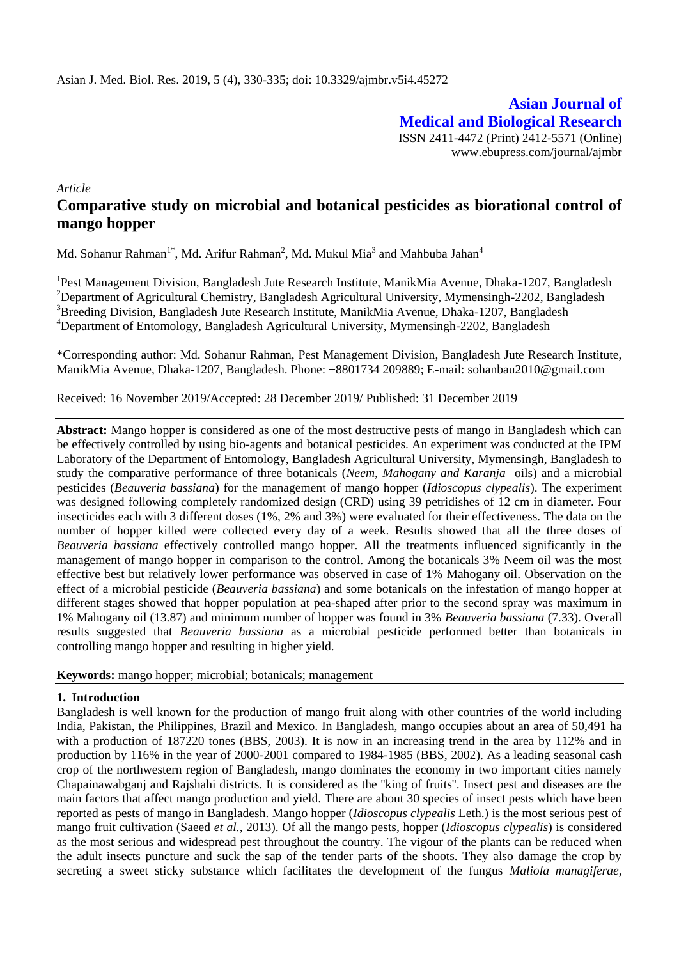**Asian Journal of Medical and Biological Research** ISSN 2411-4472 (Print) 2412-5571 (Online) www.ebupress.com/journal/ajmbr

*Article*

# **Comparative study on microbial and botanical pesticides as biorational control of mango hopper**

Md. Sohanur Rahman<sup>1\*</sup>, Md. Arifur Rahman<sup>2</sup>, Md. Mukul Mia<sup>3</sup> and Mahbuba Jahan<sup>4</sup>

<sup>1</sup>Pest Management Division, Bangladesh Jute Research Institute, ManikMia Avenue, Dhaka-1207, Bangladesh <sup>2</sup>Department of Agricultural Chemistry, Bangladesh Agricultural University, Mymensingh-2202, Bangladesh <sup>3</sup>Breeding Division, Bangladesh Jute Research Institute, ManikMia Avenue, Dhaka-1207, Bangladesh <sup>4</sup>Department of Entomology, Bangladesh Agricultural University, Mymensingh-2202, Bangladesh

\*Corresponding author: Md. Sohanur Rahman, Pest Management Division, Bangladesh Jute Research Institute, ManikMia Avenue, Dhaka-1207, Bangladesh. Phone: +8801734 209889; E-mail: [sohanbau2010@gmail.com](mailto:sohanbau2010@gmail.com)

Received: 16 November 2019/Accepted: 28 December 2019/ Published: 31 December 2019

**Abstract:** Mango hopper is considered as one of the most destructive pests of mango in Bangladesh which can be effectively controlled by using bio-agents and botanical pesticides. An experiment was conducted at the IPM Laboratory of the Department of Entomology, Bangladesh Agricultural University, Mymensingh, Bangladesh to study the comparative performance of three botanicals (*Neem, Mahogany and Karanja* oils) and a microbial pesticides (*Beauveria bassiana*) for the management of mango hopper (*Idioscopus clypealis*). The experiment was designed following completely randomized design (CRD) using 39 petridishes of 12 cm in diameter. Four insecticides each with 3 different doses (1%, 2% and 3%) were evaluated for their effectiveness. The data on the number of hopper killed were collected every day of a week. Results showed that all the three doses of *Beauveria bassiana* effectively controlled mango hopper. All the treatments influenced significantly in the management of mango hopper in comparison to the control. Among the botanicals 3% Neem oil was the most effective best but relatively lower performance was observed in case of 1% Mahogany oil. Observation on the effect of a microbial pesticide (*Beauveria bassiana*) and some botanicals on the infestation of mango hopper at different stages showed that hopper population at pea-shaped after prior to the second spray was maximum in 1% Mahogany oil (13.87) and minimum number of hopper was found in 3% *Beauveria bassiana* (7.33). Overall results suggested that *Beauveria bassiana* as a microbial pesticide performed better than botanicals in controlling mango hopper and resulting in higher yield.

### **Keywords:** mango hopper; microbial; botanicals; management

### **1. Introduction**

Bangladesh is well known for the production of mango fruit along with other countries of the world including India, Pakistan, the Philippines, Brazil and Mexico*.* In Bangladesh, mango occupies about an area of 50,491 ha with a production of 187220 tones (BBS, 2003). It is now in an increasing trend in the area by 112% and in production by 116% in the year of 2000-2001 compared to 1984-1985 (BBS, 2002). As a leading seasonal cash crop of the northwestern region of Bangladesh, mango dominates the economy in two important cities namely Chapainawabganj and Rajshahi districts. It is considered as the ''king of fruits''. Insect pest and diseases are the main factors that affect mango production and yield. There are about 30 species of insect pests which have been reported as pests of mango in Bangladesh. Mango hopper (*Idioscopus clypealis* Leth.) is the most serious pest of mango fruit cultivation (Saeed *et al.,* 2013). Of all the mango pests, hopper (*Idioscopus clypealis*) is considered as the most serious and widespread pest throughout the country. The vigour of the plants can be reduced when the adult insects puncture and suck the sap of the tender parts of the shoots. They also damage the crop by secreting a sweet sticky substance which facilitates the development of the fungus *Maliola managiferae*,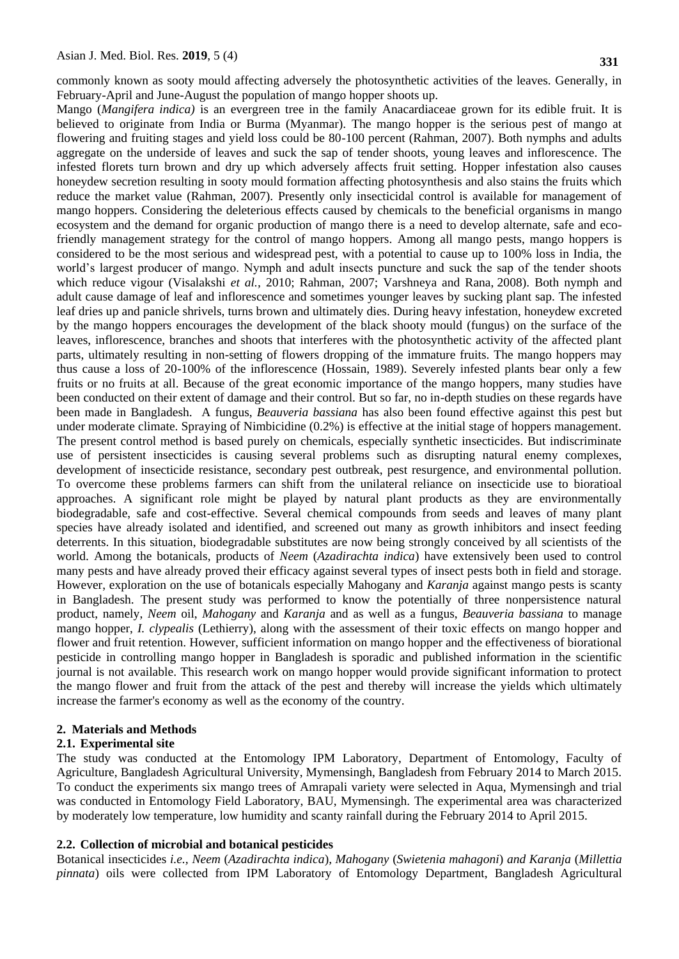commonly known as sooty mould affecting adversely the photosynthetic activities of the leaves. Generally, in February-April and June-August the population of mango hopper shoots up.

Mango (*Mangifera indica)* is an evergreen tree in the family Anacardiaceae grown for its edible fruit. It is believed to originate from India or Burma (Myanmar). The mango hopper is the serious pest of mango at flowering and fruiting stages and yield loss could be 80-100 percent (Rahman, 2007). Both nymphs and adults aggregate on the underside of leaves and suck the sap of tender shoots, young leaves and inflorescence. The infested florets turn brown and dry up which adversely affects fruit setting. Hopper infestation also causes honeydew secretion resulting in sooty mould formation affecting photosynthesis and also stains the fruits which reduce the market value (Rahman, 2007). Presently only insecticidal control is available for management of mango hoppers. Considering the deleterious effects caused by chemicals to the beneficial organisms in mango ecosystem and the demand for organic production of mango there is a need to develop alternate, safe and ecofriendly management strategy for the control of mango hoppers. Among all mango pests, mango hoppers is considered to be the most serious and widespread pest, with a potential to cause up to 100% loss in India, the world's largest producer of mango. Nymph and adult insects puncture and suck the sap of the tender shoots which reduce vigour (Visalakshi *et al.,* 2010; Rahman, 2007; Varshneya and Rana, 2008). Both nymph and adult cause damage of leaf and inflorescence and sometimes younger leaves by sucking plant sap. The infested leaf dries up and panicle shrivels, turns brown and ultimately dies. During heavy infestation, honeydew excreted by the mango hoppers encourages the development of the black shooty mould (fungus) on the surface of the leaves, inflorescence, branches and shoots that interferes with the photosynthetic activity of the affected plant parts, ultimately resulting in non-setting of flowers dropping of the immature fruits. The mango hoppers may thus cause a loss of 20-100% of the inflorescence (Hossain, 1989). Severely infested plants bear only a few fruits or no fruits at all. Because of the great economic importance of the mango hoppers, many studies have been conducted on their extent of damage and their control. But so far, no in-depth studies on these regards have been made in Bangladesh. A fungus, *Beauveria bassiana* has also been found effective against this pest but under moderate climate. Spraying of Nimbicidine (0.2%) is effective at the initial stage of hoppers management. The present control method is based purely on chemicals, especially synthetic insecticides. But indiscriminate use of persistent insecticides is causing several problems such as disrupting natural enemy complexes, development of insecticide resistance, secondary pest outbreak, pest resurgence, and environmental pollution. To overcome these problems farmers can shift from the unilateral reliance on insecticide use to bioratioal approaches. A significant role might be played by natural plant products as they are environmentally biodegradable, safe and cost-effective. Several chemical compounds from seeds and leaves of many plant species have already isolated and identified, and screened out many as growth inhibitors and insect feeding deterrents. In this situation, biodegradable substitutes are now being strongly conceived by all scientists of the world. Among the botanicals, products of *Neem* (*Azadirachta indica*) have extensively been used to control many pests and have already proved their efficacy against several types of insect pests both in field and storage. However, exploration on the use of botanicals especially Mahogany and *Karanja* against mango pests is scanty in Bangladesh. The present study was performed to know the potentially of three nonpersistence natural product, namely, *Neem* oil, *Mahogany* and *Karanja* and as well as a fungus, *Beauveria bassiana* to manage mango hopper, *I. clypealis* (Lethierry), along with the assessment of their toxic effects on mango hopper and flower and fruit retention. However, sufficient information on mango hopper and the effectiveness of biorational pesticide in controlling mango hopper in Bangladesh is sporadic and published information in the scientific journal is not available. This research work on mango hopper would provide significant information to protect the mango flower and fruit from the attack of the pest and thereby will increase the yields which ultimately increase the farmer's economy as well as the economy of the country.

### **2. Materials and Methods**

### **2.1. Experimental site**

The study was conducted at the Entomology IPM Laboratory, Department of Entomology, Faculty of Agriculture, Bangladesh Agricultural University, Mymensingh, Bangladesh from February 2014 to March 2015. To conduct the experiments six mango trees of Amrapali variety were selected in Aqua, Mymensingh and trial was conducted in Entomology Field Laboratory, BAU, Mymensingh. The experimental area was characterized by moderately low temperature, low humidity and scanty rainfall during the February 2014 to April 2015.

### **2.2. Collection of microbial and botanical pesticides**

Botanical insecticides *i.e., Neem* (*Azadirachta indica*)*, Mahogany* (*Swietenia mahagoni*) *and Karanja* (*Millettia pinnata*) oils were collected from IPM Laboratory of Entomology Department, Bangladesh Agricultural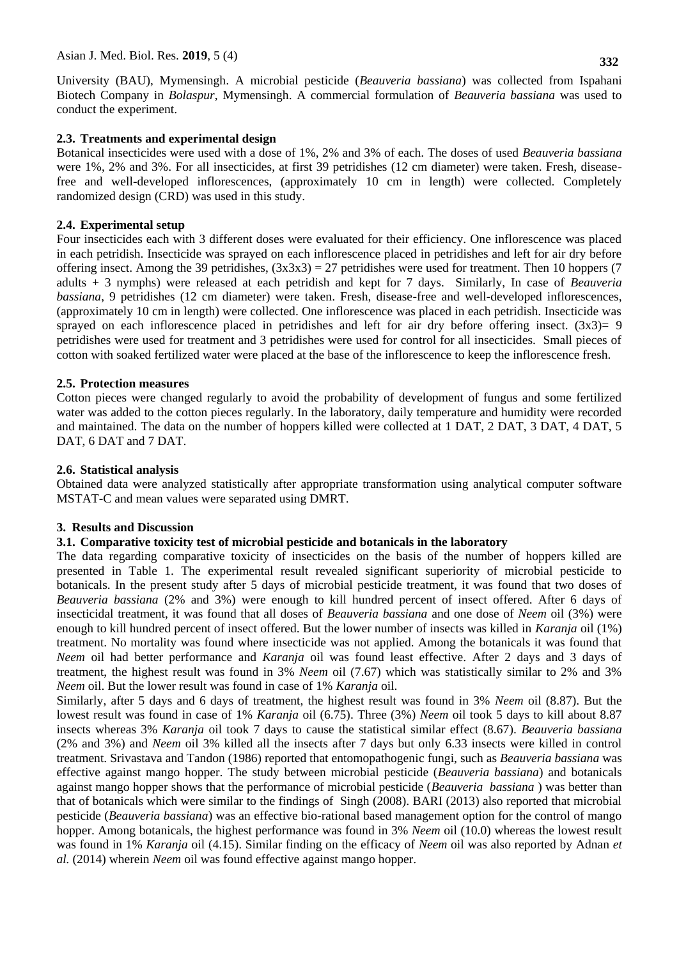**332**

University (BAU), Mymensingh. A microbial pesticide (*Beauveria bassiana*) was collected from Ispahani Biotech Company in *Bolaspur*, Mymensingh. A commercial formulation of *Beauveria bassiana* was used to conduct the experiment.

### **2.3. Treatments and experimental design**

Botanical insecticides were used with a dose of 1%, 2% and 3% of each. The doses of used *Beauveria bassiana* were 1%, 2% and 3%. For all insecticides, at first 39 petridishes (12 cm diameter) were taken. Fresh, diseasefree and well-developed inflorescences, (approximately 10 cm in length) were collected. Completely randomized design (CRD) was used in this study.

# **2.4. Experimental setup**

Four insecticides each with 3 different doses were evaluated for their efficiency. One inflorescence was placed in each petridish. Insecticide was sprayed on each inflorescence placed in petridishes and left for air dry before offering insect. Among the 39 petridishes,  $(3x3x3) = 27$  petridishes were used for treatment. Then 10 hoppers (7) adults + 3 nymphs) were released at each petridish and kept for 7 days. Similarly, In case of *Beauveria bassiana*, 9 petridishes (12 cm diameter) were taken. Fresh, disease-free and well-developed inflorescences, (approximately 10 cm in length) were collected. One inflorescence was placed in each petridish. Insecticide was sprayed on each inflorescence placed in petridishes and left for air dry before offering insect.  $(3x3)=9$ petridishes were used for treatment and 3 petridishes were used for control for all insecticides. Small pieces of cotton with soaked fertilized water were placed at the base of the inflorescence to keep the inflorescence fresh.

### **2.5. Protection measures**

Cotton pieces were changed regularly to avoid the probability of development of fungus and some fertilized water was added to the cotton pieces regularly. In the laboratory, daily temperature and humidity were recorded and maintained. The data on the number of hoppers killed were collected at 1 DAT, 2 DAT, 3 DAT, 4 DAT, 5 DAT, 6 DAT and 7 DAT.

### **2.6. Statistical analysis**

Obtained data were analyzed statistically after appropriate transformation using analytical computer software MSTAT-C and mean values were separated using DMRT.

### **3. Results and Discussion**

# **3.1. Comparative toxicity test of microbial pesticide and botanicals in the laboratory**

The data regarding comparative toxicity of insecticides on the basis of the number of hoppers killed are presented in Table 1. The experimental result revealed significant superiority of microbial pesticide to botanicals. In the present study after 5 days of microbial pesticide treatment, it was found that two doses of *Beauveria bassiana* (2% and 3%) were enough to kill hundred percent of insect offered. After 6 days of insecticidal treatment, it was found that all doses of *Beauveria bassiana* and one dose of *Neem* oil (3%) were enough to kill hundred percent of insect offered. But the lower number of insects was killed in *Karanja* oil (1%) treatment. No mortality was found where insecticide was not applied. Among the botanicals it was found that *Neem* oil had better performance and *Karanja* oil was found least effective. After 2 days and 3 days of treatment, the highest result was found in 3% *Neem* oil (7.67) which was statistically similar to 2% and 3% *Neem* oil. But the lower result was found in case of 1% *Karanja* oil.

Similarly, after 5 days and 6 days of treatment, the highest result was found in 3% *Neem* oil (8.87). But the lowest result was found in case of 1% *Karanja* oil (6.75). Three (3%) *Neem* oil took 5 days to kill about 8.87 insects whereas 3% *Karanja* oil took 7 days to cause the statistical similar effect (8.67). *Beauveria bassiana* (2% and 3%) and *Neem* oil 3% killed all the insects after 7 days but only 6.33 insects were killed in control treatment. Srivastava and Tandon (1986) reported that entomopathogenic fungi, such as *Beauveria bassiana* was effective against mango hopper. The study between microbial pesticide (*Beauveria bassiana*) and botanicals against mango hopper shows that the performance of microbial pesticide (*Beauveria bassiana* ) was better than that of botanicals which were similar to the findings of Singh (2008). BARI (2013) also reported that microbial pesticide (*Beauveria bassiana*) was an effective bio-rational based management option for the control of mango hopper. Among botanicals, the highest performance was found in 3% *Neem* oil (10.0) whereas the lowest result was found in 1% *Karanja* oil (4.15). Similar finding on the efficacy of *Neem* oil was also reported by Adnan *et al.* (2014) wherein *Neem* oil was found effective against mango hopper.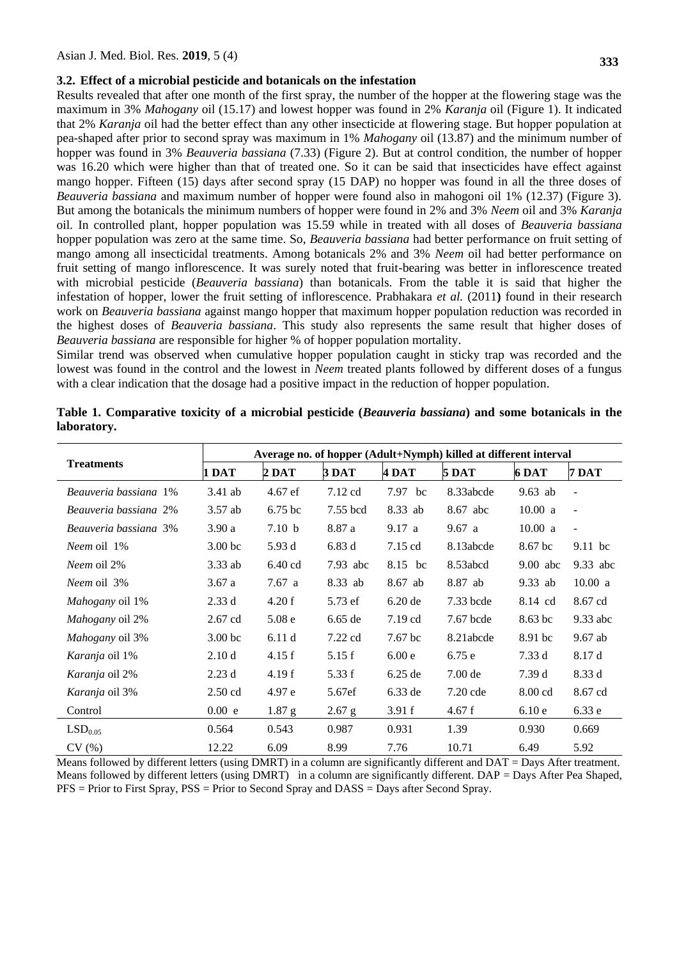#### **3.2. Effect of a microbial pesticide and botanicals on the infestation**

Results revealed that after one month of the first spray, the number of the hopper at the flowering stage was the maximum in 3% *Mahogany* oil (15.17) and lowest hopper was found in 2% *Karanja* oil (Figure 1). It indicated that 2% *Karanja* oil had the better effect than any other insecticide at flowering stage. But hopper population at pea-shaped after prior to second spray was maximum in 1% *Mahogany* oil (13.87) and the minimum number of hopper was found in 3% *Beauveria bassiana* (7.33) (Figure 2). But at control condition, the number of hopper was 16.20 which were higher than that of treated one. So it can be said that insecticides have effect against mango hopper. Fifteen (15) days after second spray (15 DAP) no hopper was found in all the three doses of *Beauveria bassiana* and maximum number of hopper were found also in mahogoni oil 1% (12.37) (Figure 3). But among the botanicals the minimum numbers of hopper were found in 2% and 3% *Neem* oil and 3% *Karanja* oil. In controlled plant, hopper population was 15.59 while in treated with all doses of *Beauveria bassiana* hopper population was zero at the same time. So, *Beauveria bassiana* had better performance on fruit setting of mango among all insecticidal treatments. Among botanicals 2% and 3% *Neem* oil had better performance on fruit setting of mango inflorescence. It was surely noted that fruit-bearing was better in inflorescence treated with microbial pesticide (*Beauveria bassiana*) than botanicals. From the table it is said that higher the infestation of hopper, lower the fruit setting of inflorescence. Prabhakara *et al.* (2011**)** found in their research work on *Beauveria bassiana* against mango hopper that maximum hopper population reduction was recorded in the highest doses of *Beauveria bassiana*. This study also represents the same result that higher doses of *Beauveria bassiana* are responsible for higher % of hopper population mortality.

Similar trend was observed when cumulative hopper population caught in sticky trap was recorded and the lowest was found in the control and the lowest in *Neem* treated plants followed by different doses of a fungus with a clear indication that the dosage had a positive impact in the reduction of hopper population.

| <b>Treatments</b>      | Average no. of hopper (Adult+Nymph) killed at different interval |                   |            |                   |            |            |                          |
|------------------------|------------------------------------------------------------------|-------------------|------------|-------------------|------------|------------|--------------------------|
|                        | 1 DAT                                                            | $2$ DAT           | 3 DAT      | 4 DAT             | 5 DAT      | 6 DAT      | 7 DAT                    |
| Beauveria bassiana 1%  | $3.41$ ab                                                        | 4.67 ef           | 7.12 cd    | 7.97 bc           | 8.33abcde  | $9.63$ ab  | $\overline{\phantom{a}}$ |
| Beauveria bassiana 2%  | $3.57$ ab                                                        | $6.75~\rm{bc}$    | 7.55 bcd   | 8.33 ab           | 8.67 abc   | 10.00 a    | $\overline{\phantom{a}}$ |
| Beauveria bassiana 3%  | 3.90a                                                            | 7.10 b            | 8.87 a     | 9.17 a            | 9.67 a     | 10.00 a    | $\overline{\phantom{a}}$ |
| <i>Neem</i> oil 1%     | 3.00 <sub>bc</sub>                                               | 5.93 d            | 6.83d      | $7.15$ cd         | 8.13abcde  | 8.67 bc    | 9.11 bc                  |
| <i>Neem</i> oil 2%     | $3.33$ ab                                                        | 6.40 cd           | $7.93$ abc | 8.15 bc           | 8.53abcd   | $9.00$ abc | $9.33$ abc               |
| <i>Neem</i> oil 3%     | 3.67a                                                            | 7.67a             | 8.33 ab    | 8.67 ab           | 8.87 ab    | $9.33$ ab  | 10.00 a                  |
| <i>Mahogany</i> oil 1% | 2.33d                                                            | 4.20 f            | 5.73 ef    | $6.20$ de         | 7.33 bcde  | 8.14 cd    | 8.67 cd                  |
| Mahogany oil 2%        | $2.67$ cd                                                        | 5.08 <sub>e</sub> | $6.65$ de  | $7.19 \text{ cd}$ | 7.67 bcde  | 8.63 bc    | $9.33$ abc               |
| Mahogany oil 3%        | 3.00 <sub>bc</sub>                                               | 6.11d             | 7.22 cd    | 7.67 bc           | 8.21abcde  | 8.91 bc    | $9.67$ ab                |
| <i>Karanja</i> oil 1%  | 2.10 <sub>d</sub>                                                | 4.15 f            | 5.15 f     | 6.00e             | 6.75e      | 7.33 d     | 8.17 d                   |
| <i>Karanja</i> oil 2%  | 2.23d                                                            | 4.19f             | 5.33 f     | $6.25$ de         | 7.00 de    | 7.39d      | 8.33 d                   |
| <i>Karanja</i> oil 3%  | $2.50$ cd                                                        | 4.97 e            | 5.67ef     | $6.33$ de         | $7.20$ cde | 8.00 cd    | 8.67 cd                  |
| Control                | 0.00 e                                                           | $1.87\$ g         | $2.67$ g   | 3.91 f            | 4.67 f     | 6.10e      | 6.33e                    |
| LSD <sub>0.05</sub>    | 0.564                                                            | 0.543             | 0.987      | 0.931             | 1.39       | 0.930      | 0.669                    |
| CV(%)                  | 12.22                                                            | 6.09              | 8.99       | 7.76              | 10.71      | 6.49       | 5.92                     |

**Table 1. Comparative toxicity of a microbial pesticide (***Beauveria bassiana***) and some botanicals in the laboratory.**

Means followed by different letters (using DMRT) in a column are significantly different and DAT = Days After treatment. Means followed by different letters (using DMRT) in a column are significantly different. DAP = Days After Pea Shaped, PFS = Prior to First Spray, PSS = Prior to Second Spray and DASS = Days after Second Spray.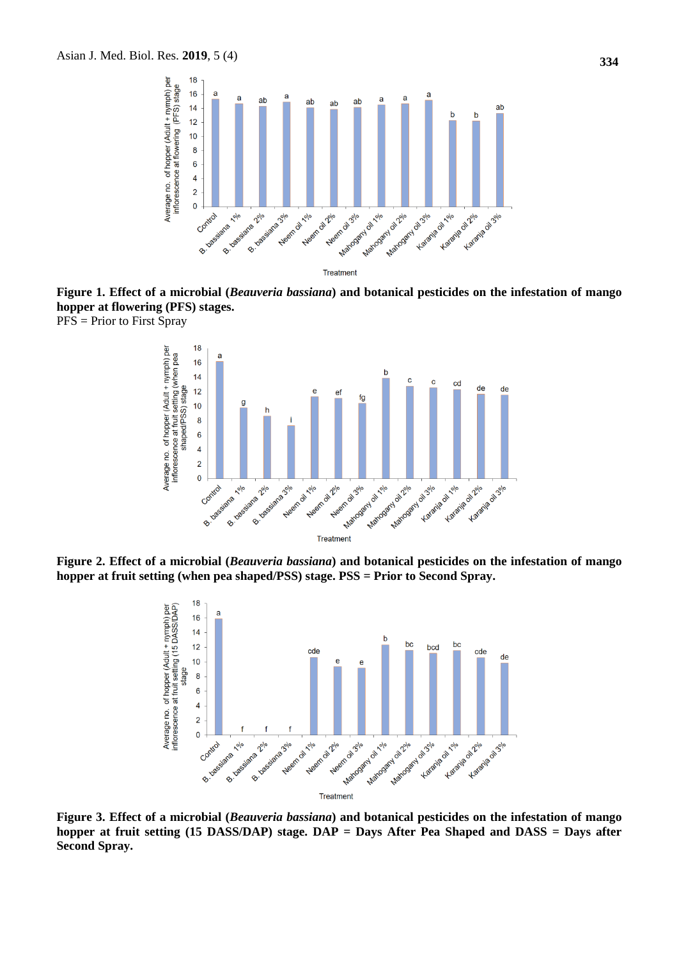

**Figure 1. Effect of a microbial (***Beauveria bassiana***) and botanical pesticides on the infestation of mango hopper at flowering (PFS) stages.**  PFS = Prior to First Spray



**Figure 2. Effect of a microbial (***Beauveria bassiana***) and botanical pesticides on the infestation of mango hopper at fruit setting (when pea shaped/PSS) stage. PSS = Prior to Second Spray.**



**Figure 3. Effect of a microbial (***Beauveria bassiana***) and botanical pesticides on the infestation of mango hopper at fruit setting (15 DASS/DAP) stage. DAP = Days After Pea Shaped and DASS = Days after Second Spray.**